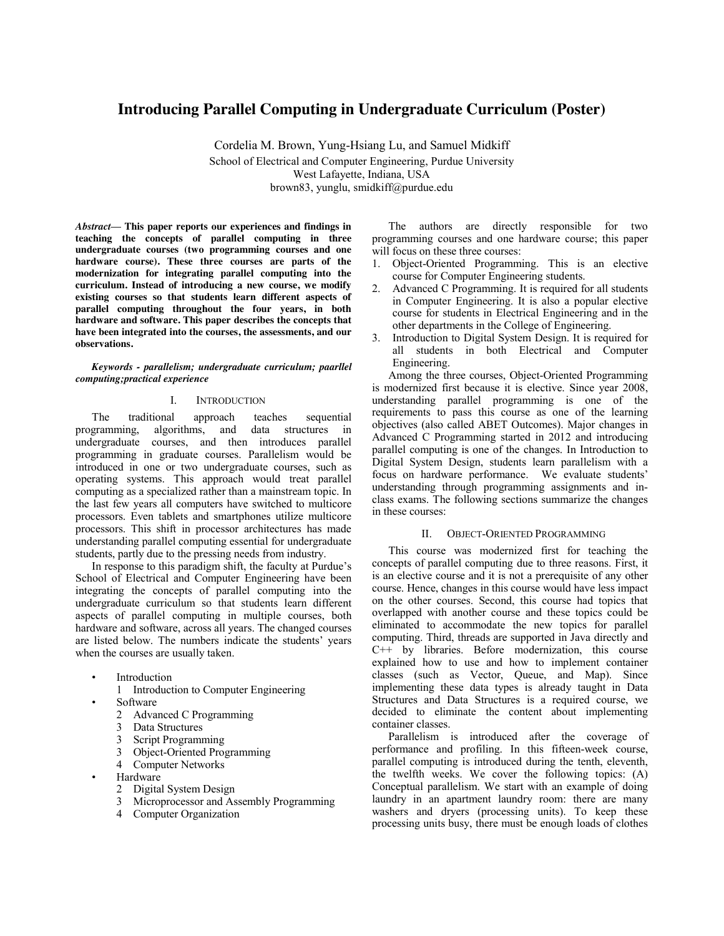# **Introducing Parallel Computing in Undergraduate Curriculum (Poster)**

Cordelia M. Brown, Yung-Hsiang Lu, and Samuel Midkiff School of Electrical and Computer Engineering, Purdue University West Lafayette, Indiana, USA brown83, yunglu, smidkiff@purdue.edu

*Abstract***— This paper reports our experiences and findings in teaching the concepts of parallel computing in three undergraduate courses (two programming courses and one hardware course). These three courses are parts of the modernization for integrating parallel computing into the curriculum. Instead of introducing a new course, we modify existing courses so that students learn different aspects of parallel computing throughout the four years, in both hardware and software. This paper describes the concepts that have been integrated into the courses, the assessments, and our observations.**

## *Keywords - parallelism; undergraduate curriculum; paarllel computing;practical experience*

## I. INTRODUCTION

The traditional approach teaches sequential programming, algorithms, and data structures in undergraduate courses, and then introduces parallel programming in graduate courses. Parallelism would be introduced in one or two undergraduate courses, such as operating systems. This approach would treat parallel computing as a specialized rather than a mainstream topic. In the last few years all computers have switched to multicore processors. Even tablets and smartphones utilize multicore processors. This shift in processor architectures has made understanding parallel computing essential for undergraduate students, partly due to the pressing needs from industry.

In response to this paradigm shift, the faculty at Purdue's School of Electrical and Computer Engineering have been integrating the concepts of parallel computing into the undergraduate curriculum so that students learn different aspects of parallel computing in multiple courses, both hardware and software, across all years. The changed courses are listed below. The numbers indicate the students' years when the courses are usually taken.

**Introduction** 

1 Introduction to Computer Engineering

- Software
	- 2 Advanced C Programming
	- 3 Data Structures
	- 3 Script Programming
	- 3 Object-Oriented Programming
	- 4 Computer Networks
	- **Hardware** 
		- 2 Digital System Design
		- 3 Microprocessor and Assembly Programming
		- 4 Computer Organization

The authors are directly responsible for two programming courses and one hardware course; this paper will focus on these three courses:

- 1. Object-Oriented Programming. This is an elective course for Computer Engineering students.
- 2. Advanced C Programming. It is required for all students in Computer Engineering. It is also a popular elective course for students in Electrical Engineering and in the other departments in the College of Engineering.
- 3. Introduction to Digital System Design. It is required for all students in both Electrical and Computer Engineering.

Among the three courses, Object-Oriented Programming is modernized first because it is elective. Since year 2008, understanding parallel programming is one of the requirements to pass this course as one of the learning objectives (also called ABET Outcomes). Major changes in Advanced C Programming started in 2012 and introducing parallel computing is one of the changes. In Introduction to Digital System Design, students learn parallelism with a focus on hardware performance. We evaluate students' understanding through programming assignments and inclass exams. The following sections summarize the changes in these courses:

#### II. OBJECT-ORIENTED PROGRAMMING

This course was modernized first for teaching the concepts of parallel computing due to three reasons. First, it is an elective course and it is not a prerequisite of any other course. Hence, changes in this course would have less impact on the other courses. Second, this course had topics that overlapped with another course and these topics could be eliminated to accommodate the new topics for parallel computing. Third, threads are supported in Java directly and  $C++$  by libraries. Before modernization, this course explained how to use and how to implement container classes (such as Vector, Queue, and Map). Since implementing these data types is already taught in Data Structures and Data Structures is a required course, we decided to eliminate the content about implementing container classes.

Parallelism is introduced after the coverage of performance and profiling. In this fifteen-week course, parallel computing is introduced during the tenth, eleventh, the twelfth weeks. We cover the following topics: (A) Conceptual parallelism. We start with an example of doing laundry in an apartment laundry room: there are many washers and dryers (processing units). To keep these processing units busy, there must be enough loads of clothes